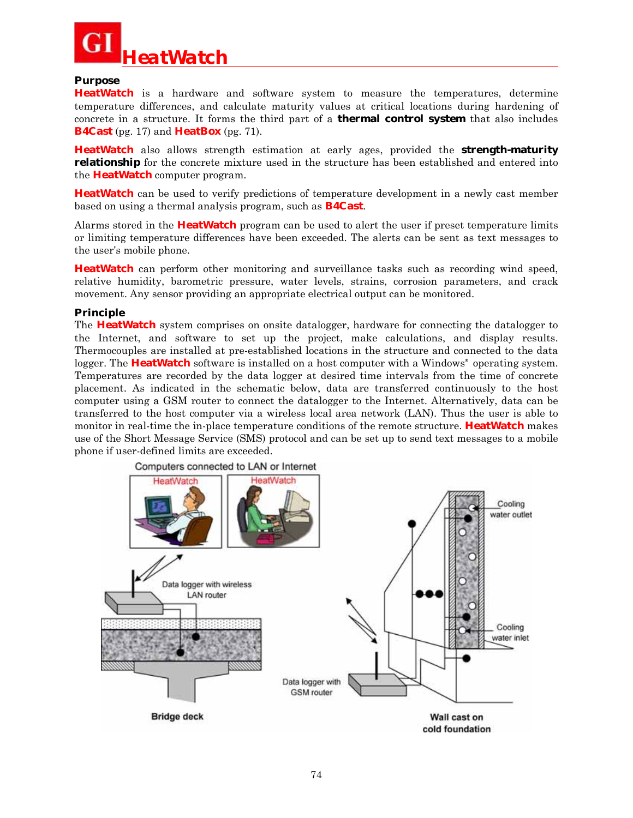

#### **Purpose**

**HeatWatch** is a hardware and software system to measure the temperatures, determine temperature differences, and calculate maturity values at critical locations during hardening of concrete in a structure. It forms the third part of a **thermal control system** that also includes **B4Cast** (pg. 17) and **HeatBox** (pg. 71).

**HeatWatch** also allows strength estimation at early ages, provided the **strength-maturity relationship** for the concrete mixture used in the structure has been established and entered into the **HeatWatch** computer program.

**HeatWatch** can be used to verify predictions of temperature development in a newly cast member based on using a thermal analysis program, such as **B4Cast**.

Alarms stored in the **HeatWatch** program can be used to alert the user if preset temperature limits or limiting temperature differences have been exceeded. The alerts can be sent as text messages to the user's mobile phone.

**HeatWatch** can perform other monitoring and surveillance tasks such as recording wind speed, relative humidity, barometric pressure, water levels, strains, corrosion parameters, and crack movement. Any sensor providing an appropriate electrical output can be monitored.

#### **Principle**

The **HeatWatch** system comprises on onsite datalogger, hardware for connecting the datalogger to the Internet, and software to set up the project, make calculations, and display results. Thermocouples are installed at pre-established locations in the structure and connected to the data logger. The **HeatWatch** software is installed on a host computer with a Windows<sup>®</sup> operating system. Temperatures are recorded by the data logger at desired time intervals from the time of concrete placement. As indicated in the schematic below, data are transferred continuously to the host computer using a GSM router to connect the datalogger to the Internet. Alternatively, data can be transferred to the host computer via a wireless local area network (LAN). Thus the user is able to monitor in real-time the in-place temperature conditions of the remote structure. **HeatWatch** makes use of the Short Message Service (SMS) protocol and can be set up to send text messages to a mobile phone if user-defined limits are exceeded.

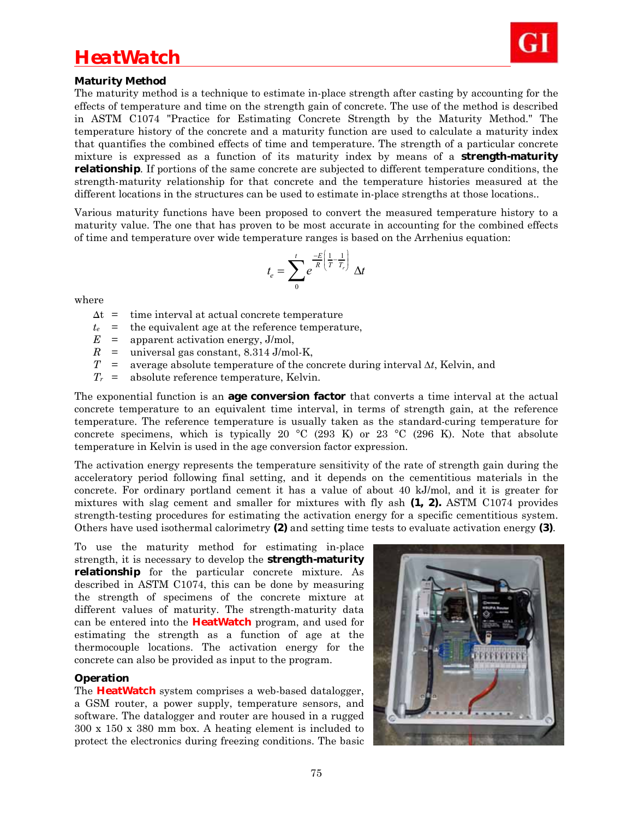## *HeatWatch*



## **Maturity Method**

The maturity method is a technique to estimate in-place strength after casting by accounting for the effects of temperature and time on the strength gain of concrete. The use of the method is described in ASTM C1074 "Practice for Estimating Concrete Strength by the Maturity Method." The temperature history of the concrete and a maturity function are used to calculate a maturity index that quantifies the combined effects of time and temperature. The strength of a particular concrete mixture is expressed as a function of its maturity index by means of a **strength-maturity relationship**. If portions of the same concrete are subjected to different temperature conditions, the strength-maturity relationship for that concrete and the temperature histories measured at the different locations in the structures can be used to estimate in-place strengths at those locations..

Various maturity functions have been proposed to convert the measured temperature history to a maturity value. The one that has proven to be most accurate in accounting for the combined effects of time and temperature over wide temperature ranges is based on the Arrhenius equation:

$$
t_e = \sum_{0}^{t} e^{\frac{-E}{R} \left( \frac{1}{T} - \frac{1}{T_r} \right)} \Delta t
$$

where

- $\Delta t$  = time interval at actual concrete temperature
- $t_e$  = the equivalent age at the reference temperature,
- $E =$  apparent activation energy, J/mol,
- $R$  = universal gas constant, 8.314 J/mol-K,
- $T =$  average absolute temperature of the concrete during interval  $\Delta t$ , Kelvin, and
- *Tr* = absolute reference temperature, Kelvin.

The exponential function is an **age conversion factor** that converts a time interval at the actual concrete temperature to an equivalent time interval, in terms of strength gain, at the reference temperature. The reference temperature is usually taken as the standard-curing temperature for concrete specimens, which is typically 20  $\degree$ C (293 K) or 23  $\degree$ C (296 K). Note that absolute temperature in Kelvin is used in the age conversion factor expression.

The activation energy represents the temperature sensitivity of the rate of strength gain during the acceleratory period following final setting, and it depends on the cementitious materials in the concrete. For ordinary portland cement it has a value of about 40 kJ/mol, and it is greater for mixtures with slag cement and smaller for mixtures with fly ash **(1, 2).** ASTM C1074 provides strength-testing procedures for estimating the activation energy for a specific cementitious system. Others have used isothermal calorimetry **(2)** and setting time tests to evaluate activation energy **(3)**.

To use the maturity method for estimating in-place strength, it is necessary to develop the **strength-maturity relationship** for the particular concrete mixture. As described in ASTM C1074, this can be done by measuring the strength of specimens of the concrete mixture at different values of maturity. The strength-maturity data can be entered into the **HeatWatch** program, and used for estimating the strength as a function of age at the thermocouple locations. The activation energy for the concrete can also be provided as input to the program.

#### **Operation**

The **HeatWatch** system comprises a web-based datalogger, a GSM router, a power supply, temperature sensors, and software. The datalogger and router are housed in a rugged 300 x 150 x 380 mm box. A heating element is included to protect the electronics during freezing conditions. The basic

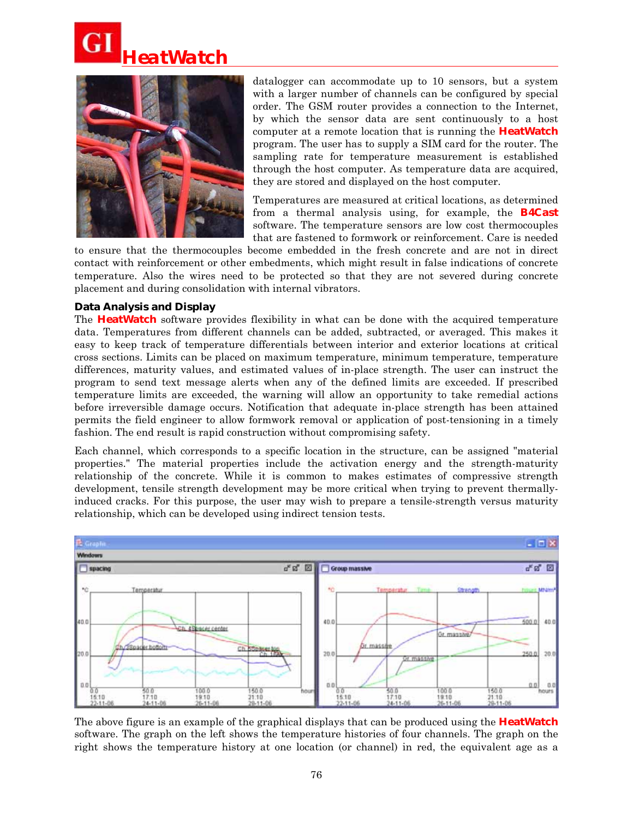



datalogger can accommodate up to 10 sensors, but a system with a larger number of channels can be configured by special order. The GSM router provides a connection to the Internet, by which the sensor data are sent continuously to a host computer at a remote location that is running the **HeatWatch** program. The user has to supply a SIM card for the router. The sampling rate for temperature measurement is established through the host computer. As temperature data are acquired, they are stored and displayed on the host computer.

Temperatures are measured at critical locations, as determined from a thermal analysis using, for example, the **B4Cast** software. The temperature sensors are low cost thermocouples that are fastened to formwork or reinforcement. Care is needed

to ensure that the thermocouples become embedded in the fresh concrete and are not in direct contact with reinforcement or other embedments, which might result in false indications of concrete temperature. Also the wires need to be protected so that they are not severed during concrete placement and during consolidation with internal vibrators.

#### **Data Analysis and Display**

The **HeatWatch** software provides flexibility in what can be done with the acquired temperature data. Temperatures from different channels can be added, subtracted, or averaged. This makes it easy to keep track of temperature differentials between interior and exterior locations at critical cross sections. Limits can be placed on maximum temperature, minimum temperature, temperature differences, maturity values, and estimated values of in-place strength. The user can instruct the program to send text message alerts when any of the defined limits are exceeded. If prescribed temperature limits are exceeded, the warning will allow an opportunity to take remedial actions before irreversible damage occurs. Notification that adequate in-place strength has been attained permits the field engineer to allow formwork removal or application of post-tensioning in a timely fashion. The end result is rapid construction without compromising safety.

Each channel, which corresponds to a specific location in the structure, can be assigned "material properties." The material properties include the activation energy and the strength-maturity relationship of the concrete. While it is common to makes estimates of compressive strength development, tensile strength development may be more critical when trying to prevent thermallyinduced cracks. For this purpose, the user may wish to prepare a tensile-strength versus maturity relationship, which can be developed using indirect tension tests.



The above figure is an example of the graphical displays that can be produced using the **HeatWatch** software. The graph on the left shows the temperature histories of four channels. The graph on the right shows the temperature history at one location (or channel) in red, the equivalent age as a